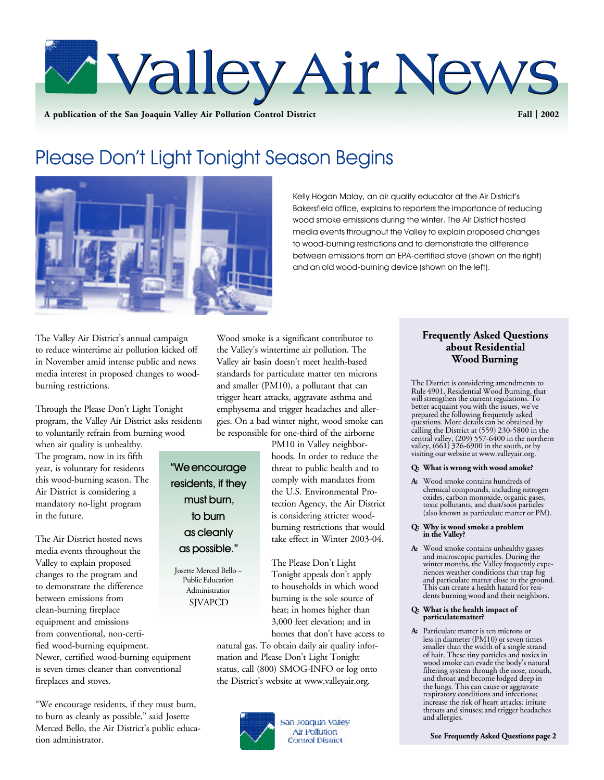# ValleyAir News

**A publication of the San Joaquin Valley Air Pollution Control District Fall | 2002**

# Please Don't Light Tonight Season Begins



Kelly Hogan Malay, an air quality educator at the Air District's Bakersfield office, explains to reporters the importance of reducing wood smoke emissions during the winter. The Air District hosted media events throughout the Valley to explain proposed changes to wood-burning restrictions and to demonstrate the difference between emissions from an EPA-certified stove (shown on the right) and an old wood-burning device (shown on the left).

The Valley Air District's annual campaign to reduce wintertime air pollution kicked off in November amid intense public and news media interest in proposed changes to woodburning restrictions.

Through the Please Don't Light Tonight program, the Valley Air District asks residents to voluntarily refrain from burning wood

when air quality is unhealthy. The program, now in its fifth year, is voluntary for residents this wood-burning season. The Air District is considering a mandatory no-light program in the future.

The Air District hosted news media events throughout the Valley to explain proposed changes to the program and to demonstrate the difference between emissions from clean-burning fireplace equipment and emissions from conventional, non-certified wood-burning equipment. Newer, certified wood-burning equipment is seven times cleaner than conventional fireplaces and stoves.

"We encourage residents, if they must burn, to burn as cleanly as possible," said Josette Merced Bello, the Air District's public education administrator.

Wood smoke is a significant contributor to the Valley's wintertime air pollution. The Valley air basin doesn't meet health-based standards for particulate matter ten microns and smaller (PM10), a pollutant that can trigger heart attacks, aggravate asthma and emphysema and trigger headaches and allergies. On a bad winter night, wood smoke can be responsible for one-third of the airborne

"We encourage residents, if they must burn, to burn as cleanly as possible."

Josette Merced Bello – Public Education Administratior **SJVAPCD** 

PM10 in Valley neighborhoods. In order to reduce the threat to public health and to comply with mandates from the U.S. Environmental Protection Agency, the Air District is considering stricter woodburning restrictions that would take effect in Winter 2003-04.

The Please Don't Light Tonight appeals don't apply to households in which wood burning is the sole source of heat; in homes higher than 3,000 feet elevation; and in homes that don't have access to

natural gas. To obtain daily air quality information and Please Don't Light Tonight status, call (800) SMOG-INFO or log onto the District's website at www.valleyair.org.



San Joaquin Valley Air Pollution Control District

### **Frequently Asked Questions about Residential Wood Burning**

The District is considering amendments to Rule 4901, Residential Wood Burning, that will strengthen the current regulations. To better acquaint you with the issues, we've prepared the following frequently asked questions. More details can be obtained by calling the District at (559) 230-5800 in the central valley, (209) 557-6400 in the northern valley, (661) 326-6900 in the south, or by visiting our website at www.valleyair.org.

#### **Q: What is wrong with wood smoke?**

**A:** Wood smoke contains hundreds of chemical compounds, including nitrogen oxides, carbon monoxide, organic gases, toxic pollutants, and dust/soot particles (also known as particulate matter or PM).

# **Q: Why is wood smoke a problem in the Valley?**

**A:** Wood smoke contains unhealthy gasses and microscopic particles. During the winter months, the Valley frequently experiences weather conditions that trap fog and particulate matter close to the ground. This can create a health hazard for residents burning wood and their neighbors.

#### **Q: What is the health impact of particulate matter?**

**A:** Particulate matter is ten microns or less in diameter (PM10) or seven times smaller than the width of a single strand of hair. These tiny particles and toxics in wood smoke can evade the body's natural filtering system through the nose, mouth, and throat and become lodged deep in the lungs. This can cause or aggravate respiratory conditions and infections; increase the risk of heart attacks; irritate throats and sinuses; and trigger headaches and allergies.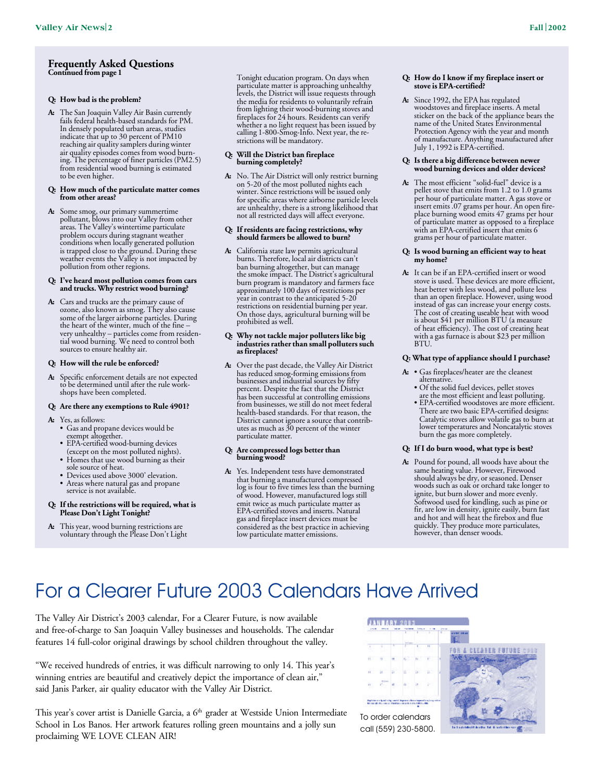#### **Frequently Asked Questions Continued from page 1**

#### **Q: How bad is the problem?**

**A:** The San Joaquin Valley Air Basin currently fails federal health-based standards for PM. In densely populated urban areas, studies indicate that up to 30 percent of PM10 reaching air quality samplers during winter air quality episodes comes from wood burning. The percentage of finer particles (PM2.5) from residential wood burning is estimated to be even higher.

#### **Q: How much of the particulate matter comes from other areas?**

**A:** Some smog, our primary summertime pollutant, blows into our Valley from other areas. The Valley's wintertime particulate problem occurs during stagnant weather conditions when locally generated pollution is trapped close to the ground. During these weather events the Valley is not impacted by pollution from other regions.

#### **Q: I've heard most pollution comes from cars and trucks. Why restrict wood burning?**

**A:** Cars and trucks are the primary cause of ozone, also known as smog. They also cause some of the larger airborne particles. During the heart of the winter, much of the fine – very unhealthy – particles come from residential wood burning. We need to control both sources to ensure healthy air.

#### **Q: How will the rule be enforced?**

**A:** Specific enforcement details are not expected to be determined until after the rule workshops have been completed.

#### **Q: Are there any exemptions to Rule 4901?**

- **A:** Yes, as follows:
	- Gas and propane devices would be exempt altogether. • EPA-certified wood-burning devices
	- (except on the most polluted nights).
	- Homes that use wood burning as their sole source of heat.
	- Devices used above 3000' elevation.
	- Areas where natural gas and propane service is not available.

#### **Q: If the restrictions will be required, what is Please Don't Light Tonight?**

**A:** This year, wood burning restrictions are voluntary through the Please Don't Light

Tonight education program. On days when particulate matter is approaching unhealthy levels, the District will issue requests through the media for residents to voluntarily refrain from lighting their wood-burning stoves and fireplaces for 24 hours. Residents can verify whether a no light request has been issued by calling 1-800-Smog-Info. Next year, the restrictions will be mandatory.

#### **Q: Will the District ban fireplace burning completely?**

- **A:** No. The Air District will only restrict burning on 5-20 of the most polluted nights each winter. Since restrictions will be issued only for specific areas where airborne particle levels are unhealthy, there is a strong likelihood that not all restricted days will affect everyone.
- **Q: If residents are facing restrictions, why should farmers be allowed to burn?**
- **A:** California state law permits agricultural burns. Therefore, local air districts can't ban burning altogether, but can manage the smoke impact. The District's agricultural burn program is mandatory and farmers face approximately 100 days of restrictions per year in contrast to the anticipated 5-20 restrictions on residential burning per year. On those days, agricultural burning will be prohibited as well.

#### **Q: Why not tackle major polluters like big industries rather than small polluters such as fireplaces?**

**A:** Over the past decade, the Valley Air District has reduced smog-forming emissions from businesses and industrial sources by fifty percent. Despite the fact that the District has been successful at controlling emissions from businesses, we still do not meet federal health-based standards. For that reason, the District cannot ignore a source that contrib-utes as much as 30 percent of the winter particulate matter.

# **Q: Are compressed logs better than burning wood?**

**A:** Yes. Independent tests have demonstrated that burning a manufactured compressed log is four to five times less than the burning of wood. However, manufactured logs still emit twice as much particulate matter as EPA-certified stoves and inserts. Natural gas and fireplace insert devices must be considered as the best practice in achieving low particulate matter emissions.

#### **Q: How do I know if my fireplace insert or stove is EPA-certified?**

**A:** Since 1992, the EPA has regulated woodstoves and fireplace inserts. A metal sticker on the back of the appliance bears the name of the United States Environmental Protection Agency with the year and month of manufacture. Anything manufactured after July 1, 1992 is EPA-certified.

#### **Q: Is there a big difference between newer wood burning devices and older devices?**

**A:** The most efficient "solid-fuel" device is a pellet stove that emits from 1.2 to 1.0 grams per hour of particulate matter. A gas stove or insert emits .07 grams per hour. An open fireplace burning wood emits 47 grams per hour of particulate matter as opposed to a fireplace with an EPA-certified insert that emits 6 grams per hour of particulate matter.

#### **Q: Is wood burning an efficient way to heat my home?**

**A:** It can be if an EPA-certified insert or wood stove is used. These devices are more efficient, heat better with less wood, and pollute less than an open fireplace. However, using wood instead of gas can increase your energy costs. The cost of creating useable heat with wood is about \$41 per million BTU (a measure of heat efficiency). The cost of creating heat with a gas furnace is about \$23 per million BTU.

#### **Q: What type of appliance should I purchase?**

- **A:** Gas fireplaces/heater are the cleanest alternative.
	- Of the solid fuel devices, pellet stoves are the most efficient and least polluting. • EPA-certified woodstoves are more efficient.
	- There are two basic EPA-certified designs: Catalytic stoves allow volatile gas to burn at lower temperatures and Noncatalytic stoves burn the gas more completely.

#### **Q: If I do burn wood, what type is best?**

**A:** Pound for pound, all woods have about the same heating value. However, Firewood should always be dry, or seasoned. Denser woods such as oak or orchard take longer to ignite, but burn slower and more evenly. Softwood used for kindling, such as pine or fir, are low in density, ignite easily, burn fast and hot and will heat the firebox and flue quickly. They produce more particulates, however, than denser woods.

# For a Clearer Future 2003 Calendars Have Arrived

The Valley Air District's 2003 calendar, For a Clearer Future, is now available and free-of-charge to San Joaquin Valley businesses and households. The calendar features 14 full-color original drawings by school children throughout the valley.

"We received hundreds of entries, it was difficult narrowing to only 14. This year's winning entries are beautiful and creatively depict the importance of clean air," said Janis Parker, air quality educator with the Valley Air District.

This year's cover artist is Danielle Garcia, a 6<sup>th</sup> grader at Westside Union Intermediate School in Los Banos. Her artwork features rolling green mountains and a jolly sun proclaiming WE LOVE CLEAN AIR!

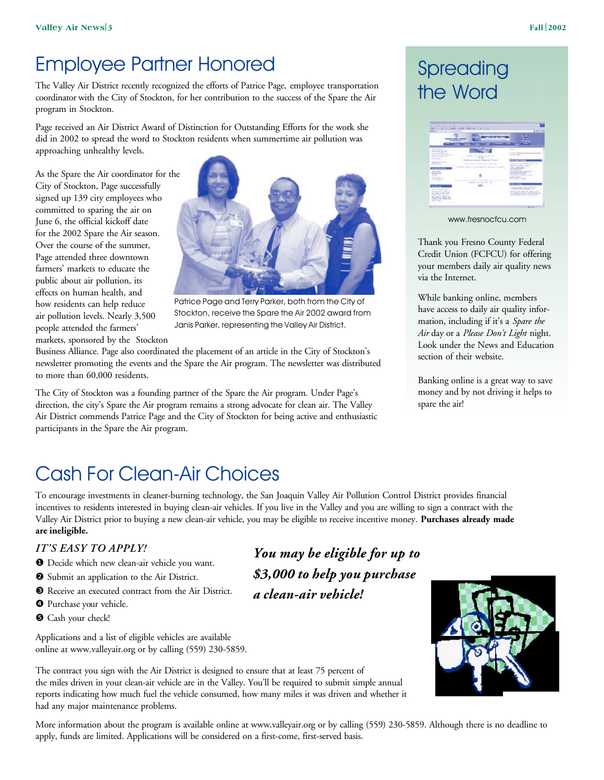# Employee Partner Honored

The Valley Air District recently recognized the efforts of Patrice Page, employee transportation coordinator with the City of Stockton, for her contribution to the success of the Spare the Air program in Stockton.

Page received an Air District Award of Distinction for Outstanding Efforts for the work she did in 2002 to spread the word to Stockton residents when summertime air pollution was approaching unhealthy levels.

As the Spare the Air coordinator for the City of Stockton, Page successfully signed up 139 city employees who committed to sparing the air on June 6, the official kickoff date for the 2002 Spare the Air season. Over the course of the summer, Page attended three downtown farmers' markets to educate the public about air pollution, its effects on human health, and how residents can help reduce air pollution levels. Nearly 3,500 people attended the farmers' markets, sponsored by the Stockton



Patrice Page and Terry Parker, both from the City of Stockton, receive the Spare the Air 2002 award from Janis Parker, representing the Valley Air District.

Business Alliance. Page also coordinated the placement of an article in the City of Stockton's newsletter promoting the events and the Spare the Air program. The newsletter was distributed to more than 60,000 residents.

The City of Stockton was a founding partner of the Spare the Air program. Under Page's direction, the city's Spare the Air program remains a strong advocate for clean air. The Valley Air District commends Patrice Page and the City of Stockton for being active and enthusiastic participants in the Spare the Air program.

# Spreading the Word



www.fresnocfcu.com

Thank you Fresno County Federal Credit Union (FCFCU) for offering your members daily air quality news via the Internet.

While banking online, members have access to daily air quality information, including if it's a *Spare the Air* day or a *Please Don't Light* night. Look under the News and Education section of their website.

Banking online is a great way to save money and by not driving it helps to spare the air!

# Cash For Clean-Air Choices

To encourage investments in cleaner-burning technology, the San Joaquin Valley Air Pollution Control District provides financial incentives to residents interested in buying clean-air vehicles. If you live in the Valley and you are willing to sign a contract with the Valley Air District prior to buying a new clean-air vehicle, you may be eligible to receive incentive money. **Purchases already made are ineligible.**

## *IT'S EASY TO APPLY!*

- ❶ Decide which new clean-air vehicle you want.
- ❷ Submit an application to the Air District.
- ❸ Receive an executed contract from the Air District.
- ❹ Purchase your vehicle.
- ❺ Cash your check!

Applications and a list of eligible vehicles are available online at www.valleyair.org or by calling (559) 230-5859.

*You may be eligible for up to \$3,000 to help you purchase a clean-air vehicle!*



The contract you sign with the Air District is designed to ensure that at least 75 percent of the miles driven in your clean-air vehicle are in the Valley. You'll be required to submit simple annual reports indicating how much fuel the vehicle consumed, how many miles it was driven and whether it had any major maintenance problems.

More information about the program is available online at www.valleyair.org or by calling (559) 230-5859. Although there is no deadline to apply, funds are limited. Applications will be considered on a first-come, first-served basis.